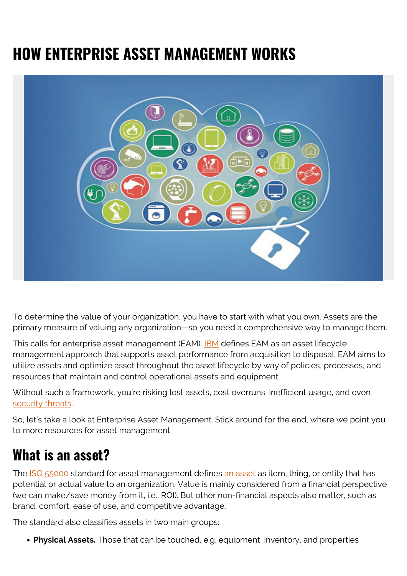# **HOW ENTERPRISE ASSET MANAGEMENT WORKS**



To determine the value of your organization, you have to start with what you own. Assets are the primary measure of valuing any organization—so you need a comprehensive way to manage them.

This calls for enterprise asset management (EAM). **[IBM](https://www.ibm.com/business-operations/enterprise-asset-management/eam)** defines EAM as an asset lifecycle management approach that supports asset performance from acquisition to disposal. EAM aims to utilize assets and optimize asset throughout the asset lifecycle by way of policies, processes, and resources that maintain and control operational assets and equipment.

Without such a framework, you're risking lost assets, cost overruns, inefficient usage, and even [security threats](https://blogs.bmc.com/blogs/security-vulnerability-vs-threat-vs-risk-whats-difference/).

So, let's take a look at Enterprise Asset Management. Stick around for the end, where we point you to more resources for asset management.

## **What is an asset?**

The [ISO 55000](https://www.iso.org/obp/ui/#iso:std:iso:55000:ed-1:v2:en) standard for asset management defines [an asset](https://www.bmc.com/blogs/asset-management-vs-configuration-management/) as item, thing, or entity that has potential or actual value to an organization. Value is mainly considered from a financial perspective (we can make/save money from it, i.e., ROI). But other non-financial aspects also matter, such as brand, comfort, ease of use, and competitive advantage.

The standard also classifies assets in two main groups:

**Physical Assets.** Those that can be touched, e.g. equipment, inventory, and properties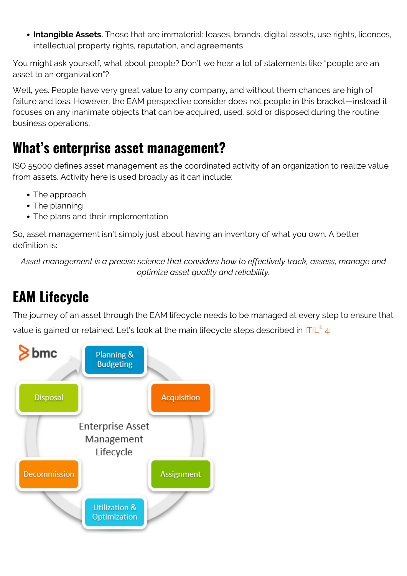**Intangible Assets.** Those that are immaterial: leases, brands, digital assets, use rights, licences, intellectual property rights, reputation, and agreements

You might ask yourself, what about people? Don't we hear a lot of statements like "people are an asset to an organization"?

Well, yes. People have very great value to any company, and without them chances are high of failure and loss. However, the EAM perspective consider does not people in this bracket—instead it focuses on any inanimate objects that can be acquired, used, sold or disposed during the routine business operations.

#### **What's enterprise asset management?**

ISO 55000 defines asset management as the coordinated activity of an organization to realize value from assets. Activity here is used broadly as it can include:

- The approach
- The planning
- The plans and their implementation

So, asset management isn't simply just about having an inventory of what you own. A better definition is:

*Asset management is a precise science that considers how to effectively track, assess, manage and optimize asset quality and reliability.*

## **EAM Lifecycle**

The journey of an asset through the EAM lifecycle needs to be managed at every step to ensure that value is gained or retained. Let's look at the main lifecycle steps described in [ITIL](https://blogs.bmc.com/blogs/itil-4/)<sup>[®](https://blogs.bmc.com/blogs/itil-4/)</sup> [4:](https://blogs.bmc.com/blogs/itil-4/)

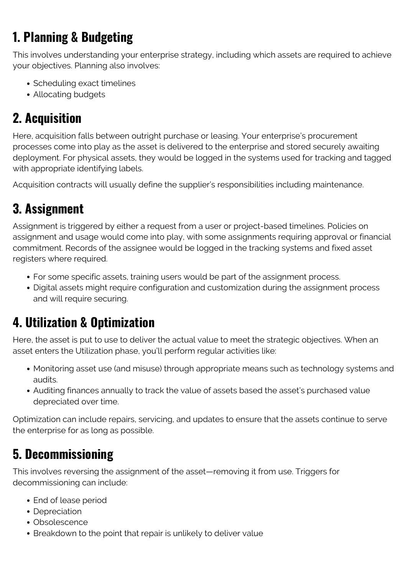#### **1. Planning & Budgeting**

This involves understanding your enterprise strategy, including which assets are required to achieve your objectives. Planning also involves:

- Scheduling exact timelines
- Allocating budgets

#### **2. Acquisition**

Here, acquisition falls between outright purchase or leasing. Your enterprise's procurement processes come into play as the asset is delivered to the enterprise and stored securely awaiting deployment. For physical assets, they would be logged in the systems used for tracking and tagged with appropriate identifying labels.

Acquisition contracts will usually define the supplier's responsibilities including maintenance.

#### **3. Assignment**

Assignment is triggered by either a request from a user or project-based timelines. Policies on assignment and usage would come into play, with some assignments requiring approval or financial commitment. Records of the assignee would be logged in the tracking systems and fixed asset registers where required.

- For some specific assets, training users would be part of the assignment process.
- Digital assets might require configuration and customization during the assignment process and will require securing.

#### **4. Utilization & Optimization**

Here, the asset is put to use to deliver the actual value to meet the strategic objectives. When an asset enters the Utilization phase, you'll perform regular activities like:

- Monitoring asset use (and misuse) through appropriate means such as technology systems and audits.
- Auditing finances annually to track the value of assets based the asset's purchased value depreciated over time.

Optimization can include repairs, servicing, and updates to ensure that the assets continue to serve the enterprise for as long as possible.

#### **5. Decommissioning**

This involves reversing the assignment of the asset—removing it from use. Triggers for decommissioning can include:

- End of lease period
- Depreciation
- Obsolescence
- Breakdown to the point that repair is unlikely to deliver value